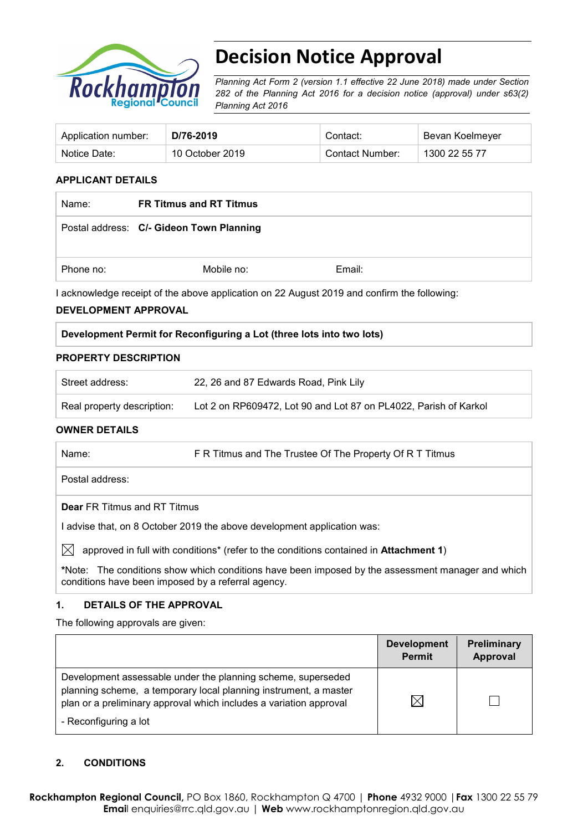

# **Decision Notice Approval**

*Planning Act Form 2 (version 1.1 effective 22 June 2018) made under Section 282 of the Planning Act 2016 for a decision notice (approval) under s63(2) Planning Act 2016*

| Application number: | D/76-2019       | Contact:        | Bevan Koelmeyer |
|---------------------|-----------------|-----------------|-----------------|
| Notice Date:        | 10 October 2019 | Contact Number: | 1300 22 55 77   |

# **APPLICANT DETAILS**

| Name:     | <b>FR Titmus and RT Titmus</b>           |        |
|-----------|------------------------------------------|--------|
|           | Postal address: C/- Gideon Town Planning |        |
| Phone no: | Mobile no:                               | Email: |

I acknowledge receipt of the above application on 22 August 2019 and confirm the following:

#### **DEVELOPMENT APPROVAL**

## **Development Permit for Reconfiguring a Lot (three lots into two lots)**

#### **PROPERTY DESCRIPTION**

| Street address:            | 22, 26 and 87 Edwards Road, Pink Lily                            |
|----------------------------|------------------------------------------------------------------|
| Real property description: | Lot 2 on RP609472, Lot 90 and Lot 87 on PL4022, Parish of Karkol |

## **OWNER DETAILS**

| Name: | F R Titmus and The Trustee Of The Property Of R T Titmus |
|-------|----------------------------------------------------------|
|       |                                                          |

Postal address:

**Dear** FR Titmus and RT Titmus

I advise that, on 8 October 2019 the above development application was:

 $\boxtimes$  approved in full with conditions<sup>\*</sup> (refer to the conditions contained in **Attachment 1**)

**\***Note:The conditions show which conditions have been imposed by the assessment manager and which conditions have been imposed by a referral agency.

## **1. DETAILS OF THE APPROVAL**

The following approvals are given:

|                                                                                                                                                                                                        | <b>Development</b><br><b>Permit</b> | <b>Preliminary</b><br>Approval |
|--------------------------------------------------------------------------------------------------------------------------------------------------------------------------------------------------------|-------------------------------------|--------------------------------|
| Development assessable under the planning scheme, superseded<br>planning scheme, a temporary local planning instrument, a master<br>plan or a preliminary approval which includes a variation approval | $\boxtimes$                         |                                |
| - Reconfiguring a lot                                                                                                                                                                                  |                                     |                                |

# **2. CONDITIONS**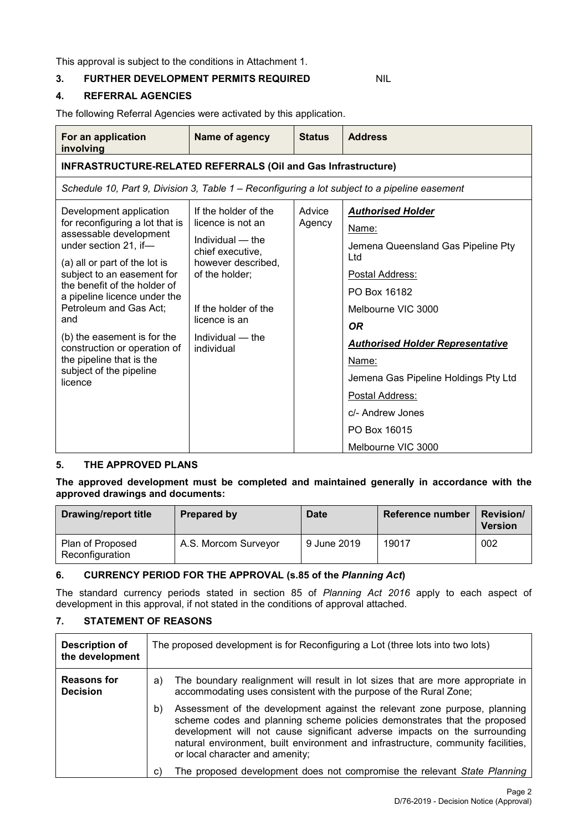This approval is subject to the conditions in Attachment 1.

# **3. FURTHER DEVELOPMENT PERMITS REQUIRED NIL**

## **4. REFERRAL AGENCIES**

The following Referral Agencies were activated by this application.

| For an application<br>involving                                                                                                                                                                                                                                                                                                                                                                                | Name of agency                                                                                                                                                                                         | <b>Status</b>    | <b>Address</b>                                                                                                                                                                                                                                                                                                                |
|----------------------------------------------------------------------------------------------------------------------------------------------------------------------------------------------------------------------------------------------------------------------------------------------------------------------------------------------------------------------------------------------------------------|--------------------------------------------------------------------------------------------------------------------------------------------------------------------------------------------------------|------------------|-------------------------------------------------------------------------------------------------------------------------------------------------------------------------------------------------------------------------------------------------------------------------------------------------------------------------------|
| <b>INFRASTRUCTURE-RELATED REFERRALS (Oil and Gas Infrastructure)</b>                                                                                                                                                                                                                                                                                                                                           |                                                                                                                                                                                                        |                  |                                                                                                                                                                                                                                                                                                                               |
| Schedule 10, Part 9, Division 3, Table 1 – Reconfiguring a lot subject to a pipeline easement                                                                                                                                                                                                                                                                                                                  |                                                                                                                                                                                                        |                  |                                                                                                                                                                                                                                                                                                                               |
| Development application<br>for reconfiguring a lot that is<br>assessable development<br>under section 21, if-<br>(a) all or part of the lot is<br>subject to an easement for<br>the benefit of the holder of<br>a pipeline licence under the<br>Petroleum and Gas Act;<br>and<br>(b) the easement is for the<br>construction or operation of<br>the pipeline that is the<br>subject of the pipeline<br>licence | If the holder of the<br>licence is not an<br>Individual — the<br>chief executive,<br>however described.<br>of the holder:<br>If the holder of the<br>licence is an<br>$Individual - the$<br>individual | Advice<br>Agency | <b>Authorised Holder</b><br>Name:<br>Jemena Queensland Gas Pipeline Pty<br>Ltd<br>Postal Address:<br>PO Box 16182<br>Melbourne VIC 3000<br><b>OR</b><br><b>Authorised Holder Representative</b><br>Name:<br>Jemena Gas Pipeline Holdings Pty Ltd<br>Postal Address:<br>c/- Andrew Jones<br>PO Box 16015<br>Melbourne VIC 3000 |

## **5. THE APPROVED PLANS**

**The approved development must be completed and maintained generally in accordance with the approved drawings and documents:**

| <b>Drawing/report title</b>         | Prepared by          | <b>Date</b> | Reference number | <b>Revision/</b><br><b>Version</b> |
|-------------------------------------|----------------------|-------------|------------------|------------------------------------|
| Plan of Proposed<br>Reconfiguration | A.S. Morcom Surveyor | 9 June 2019 | 19017            | 002                                |

## **6. CURRENCY PERIOD FOR THE APPROVAL (s.85 of the** *Planning Act***)**

The standard currency periods stated in section 85 of *Planning Act 2016* apply to each aspect of development in this approval, if not stated in the conditions of approval attached.

# **7. STATEMENT OF REASONS**

| <b>Description of</b><br>the development | The proposed development is for Reconfiguring a Lot (three lots into two lots)                                                                                                                                                                                                                                                                                  |
|------------------------------------------|-----------------------------------------------------------------------------------------------------------------------------------------------------------------------------------------------------------------------------------------------------------------------------------------------------------------------------------------------------------------|
| <b>Reasons for</b><br><b>Decision</b>    | The boundary realignment will result in lot sizes that are more appropriate in<br>a)<br>accommodating uses consistent with the purpose of the Rural Zone;                                                                                                                                                                                                       |
|                                          | Assessment of the development against the relevant zone purpose, planning<br>b)<br>scheme codes and planning scheme policies demonstrates that the proposed<br>development will not cause significant adverse impacts on the surrounding<br>natural environment, built environment and infrastructure, community facilities,<br>or local character and amenity; |
|                                          | The proposed development does not compromise the relevant State Planning                                                                                                                                                                                                                                                                                        |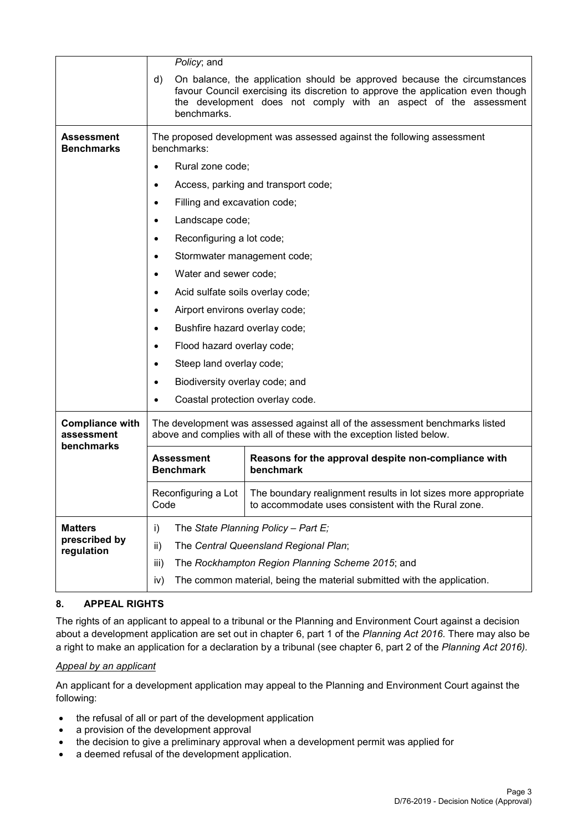|                                                    | Policy; and                                                                           |                                                                                                                                                                                                                                 |  |  |
|----------------------------------------------------|---------------------------------------------------------------------------------------|---------------------------------------------------------------------------------------------------------------------------------------------------------------------------------------------------------------------------------|--|--|
|                                                    | d)<br>benchmarks.                                                                     | On balance, the application should be approved because the circumstances<br>favour Council exercising its discretion to approve the application even though<br>the development does not comply with an aspect of the assessment |  |  |
| Assessment<br><b>Benchmarks</b>                    | The proposed development was assessed against the following assessment<br>benchmarks: |                                                                                                                                                                                                                                 |  |  |
|                                                    | Rural zone code;                                                                      |                                                                                                                                                                                                                                 |  |  |
|                                                    | $\bullet$                                                                             | Access, parking and transport code;                                                                                                                                                                                             |  |  |
|                                                    | Filling and excavation code;                                                          |                                                                                                                                                                                                                                 |  |  |
|                                                    | Landscape code;<br>$\bullet$                                                          |                                                                                                                                                                                                                                 |  |  |
|                                                    | Reconfiguring a lot code;<br>٠                                                        |                                                                                                                                                                                                                                 |  |  |
|                                                    | Stormwater management code;                                                           |                                                                                                                                                                                                                                 |  |  |
|                                                    | Water and sewer code;                                                                 |                                                                                                                                                                                                                                 |  |  |
|                                                    | Acid sulfate soils overlay code;<br>٠                                                 |                                                                                                                                                                                                                                 |  |  |
|                                                    | Airport environs overlay code;                                                        |                                                                                                                                                                                                                                 |  |  |
|                                                    | Bushfire hazard overlay code;                                                         |                                                                                                                                                                                                                                 |  |  |
|                                                    |                                                                                       | Flood hazard overlay code;                                                                                                                                                                                                      |  |  |
|                                                    |                                                                                       | Steep land overlay code;                                                                                                                                                                                                        |  |  |
|                                                    | Biodiversity overlay code; and<br>$\bullet$                                           |                                                                                                                                                                                                                                 |  |  |
|                                                    | Coastal protection overlay code.<br>٠                                                 |                                                                                                                                                                                                                                 |  |  |
| <b>Compliance with</b><br>assessment<br>benchmarks |                                                                                       | The development was assessed against all of the assessment benchmarks listed<br>above and complies with all of these with the exception listed below.                                                                           |  |  |
|                                                    | <b>Assessment</b><br><b>Benchmark</b>                                                 | Reasons for the approval despite non-compliance with<br>benchmark                                                                                                                                                               |  |  |
|                                                    | Code                                                                                  | Reconfiguring a Lot   The boundary realignment results in lot sizes more appropriate<br>to accommodate uses consistent with the Rural zone.                                                                                     |  |  |
| <b>Matters</b>                                     | i)                                                                                    | The State Planning Policy - Part E;                                                                                                                                                                                             |  |  |
| prescribed by<br>regulation                        | The Central Queensland Regional Plan;<br>ii)                                          |                                                                                                                                                                                                                                 |  |  |
|                                                    | iii)                                                                                  | The Rockhampton Region Planning Scheme 2015; and                                                                                                                                                                                |  |  |
|                                                    | iv)                                                                                   | The common material, being the material submitted with the application.                                                                                                                                                         |  |  |

# **8. APPEAL RIGHTS**

The rights of an applicant to appeal to a tribunal or the Planning and Environment Court against a decision about a development application are set out in chapter 6, part 1 of the *Planning Act 2016*. There may also be a right to make an application for a declaration by a tribunal (see chapter 6, part 2 of the *Planning Act 2016).*

## *Appeal by an applicant*

An applicant for a development application may appeal to the Planning and Environment Court against the following:

- the refusal of all or part of the development application
- a provision of the development approval
- the decision to give a preliminary approval when a development permit was applied for
- a deemed refusal of the development application.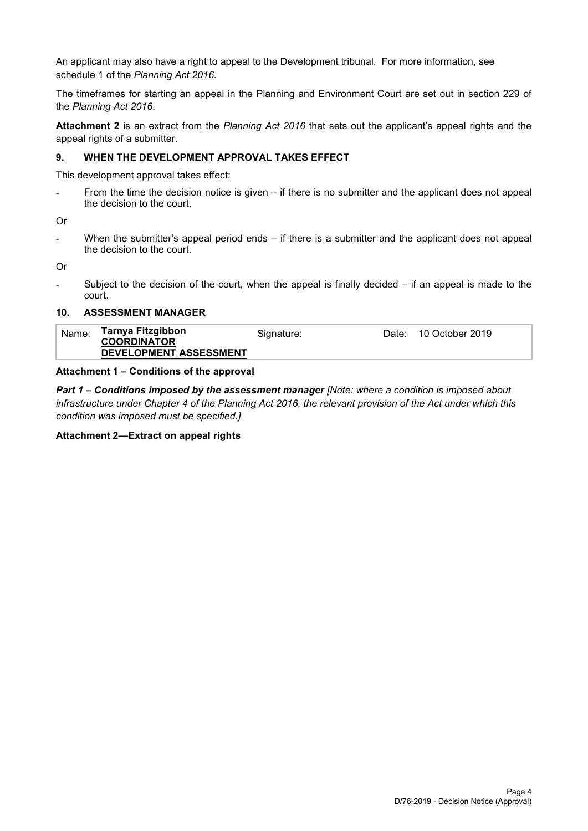An applicant may also have a right to appeal to the Development tribunal. For more information, see schedule 1 of the *Planning Act 2016*.

The timeframes for starting an appeal in the Planning and Environment Court are set out in section 229 of the *Planning Act 2016*.

**Attachment 2** is an extract from the *Planning Act 2016* that sets out the applicant's appeal rights and the appeal rights of a submitter.

## **9. WHEN THE DEVELOPMENT APPROVAL TAKES EFFECT**

This development approval takes effect:

- From the time the decision notice is given – if there is no submitter and the applicant does not appeal the decision to the court.

Or

When the submitter's appeal period ends  $-$  if there is a submitter and the applicant does not appeal the decision to the court.

Or

Subject to the decision of the court, when the appeal is finally decided  $-$  if an appeal is made to the court.

#### **10. ASSESSMENT MANAGER**

## **Attachment 1 – Conditions of the approval**

*Part 1* **–** *Conditions imposed by the assessment manager [Note: where a condition is imposed about infrastructure under Chapter 4 of the Planning Act 2016, the relevant provision of the Act under which this condition was imposed must be specified.]*

## **Attachment 2—Extract on appeal rights**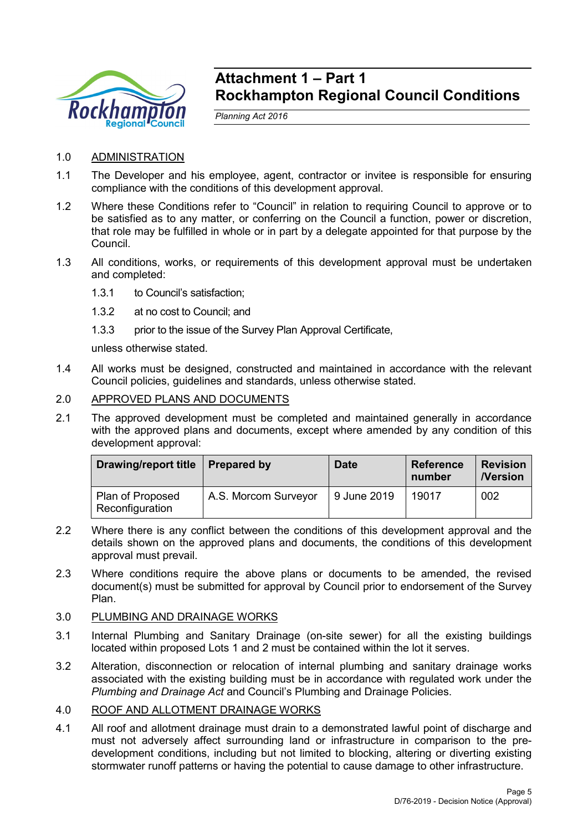

# **Attachment 1 – Part 1 Rockhampton Regional Council Conditions**

*Planning Act 2016*

- 1.0 ADMINISTRATION
- 1.1 The Developer and his employee, agent, contractor or invitee is responsible for ensuring compliance with the conditions of this development approval.
- 1.2 Where these Conditions refer to "Council" in relation to requiring Council to approve or to be satisfied as to any matter, or conferring on the Council a function, power or discretion, that role may be fulfilled in whole or in part by a delegate appointed for that purpose by the Council.
- 1.3 All conditions, works, or requirements of this development approval must be undertaken and completed:
	- 1.3.1 to Council's satisfaction;
	- 1.3.2 at no cost to Council; and
	- 1.3.3 prior to the issue of the Survey Plan Approval Certificate,

unless otherwise stated.

- 1.4 All works must be designed, constructed and maintained in accordance with the relevant Council policies, guidelines and standards, unless otherwise stated.
- 2.0 APPROVED PLANS AND DOCUMENTS
- 2.1 The approved development must be completed and maintained generally in accordance with the approved plans and documents, except where amended by any condition of this development approval:

| <b>Drawing/report title</b>         | <b>Prepared by</b>   | <b>Date</b> | <b>Reference</b><br>number | <b>Revision</b><br><b>Nersion</b> |
|-------------------------------------|----------------------|-------------|----------------------------|-----------------------------------|
| Plan of Proposed<br>Reconfiguration | A.S. Morcom Surveyor | 9 June 2019 | 19017                      | 002                               |

- 2.2 Where there is any conflict between the conditions of this development approval and the details shown on the approved plans and documents, the conditions of this development approval must prevail.
- 2.3 Where conditions require the above plans or documents to be amended, the revised document(s) must be submitted for approval by Council prior to endorsement of the Survey Plan.

# 3.0 PLUMBING AND DRAINAGE WORKS

- 3.1 Internal Plumbing and Sanitary Drainage (on-site sewer) for all the existing buildings located within proposed Lots 1 and 2 must be contained within the lot it serves.
- 3.2 Alteration, disconnection or relocation of internal plumbing and sanitary drainage works associated with the existing building must be in accordance with regulated work under the *Plumbing and Drainage Act* and Council's Plumbing and Drainage Policies.
- 4.0 ROOF AND ALLOTMENT DRAINAGE WORKS
- 4.1 All roof and allotment drainage must drain to a demonstrated lawful point of discharge and must not adversely affect surrounding land or infrastructure in comparison to the predevelopment conditions, including but not limited to blocking, altering or diverting existing stormwater runoff patterns or having the potential to cause damage to other infrastructure.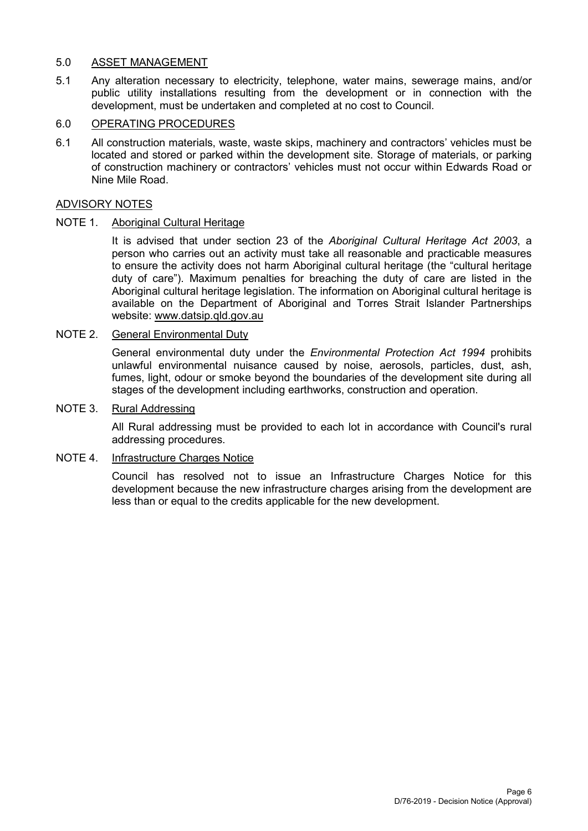# 5.0 ASSET MANAGEMENT

5.1 Any alteration necessary to electricity, telephone, water mains, sewerage mains, and/or public utility installations resulting from the development or in connection with the development, must be undertaken and completed at no cost to Council.

# 6.0 OPERATING PROCEDURES

6.1 All construction materials, waste, waste skips, machinery and contractors' vehicles must be located and stored or parked within the development site. Storage of materials, or parking of construction machinery or contractors' vehicles must not occur within Edwards Road or Nine Mile Road.

# ADVISORY NOTES

# NOTE 1. Aboriginal Cultural Heritage

It is advised that under section 23 of the *Aboriginal Cultural Heritage Act 2003*, a person who carries out an activity must take all reasonable and practicable measures to ensure the activity does not harm Aboriginal cultural heritage (the "cultural heritage duty of care"). Maximum penalties for breaching the duty of care are listed in the Aboriginal cultural heritage legislation. The information on Aboriginal cultural heritage is available on the Department of Aboriginal and Torres Strait Islander Partnerships website: [www.datsip.qld.gov.au](http://www.datsip.qld.gov.au/)

# NOTE 2. General Environmental Duty

General environmental duty under the *Environmental Protection Act 1994* prohibits unlawful environmental nuisance caused by noise, aerosols, particles, dust, ash, fumes, light, odour or smoke beyond the boundaries of the development site during all stages of the development including earthworks, construction and operation.

# NOTE 3. Rural Addressing

All Rural addressing must be provided to each lot in accordance with Council's rural addressing procedures.

# NOTE 4. Infrastructure Charges Notice

Council has resolved not to issue an Infrastructure Charges Notice for this development because the new infrastructure charges arising from the development are less than or equal to the credits applicable for the new development.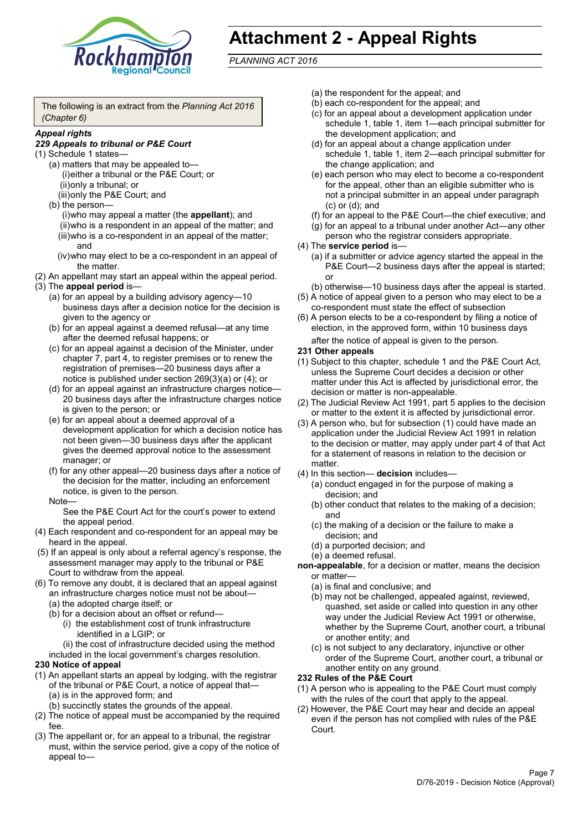

# **Attachment 2 - Appeal Rights**

*PLANNING ACT 2016*

The following is an extract from the *Planning Act 2016 (Chapter 6)*

#### *Appeal rights*

## *229 Appeals to tribunal or P&E Court*

- (1) Schedule 1 states—
	- (a) matters that may be appealed to— (i)either a tribunal or the P&E Court; or (ii)only a tribunal; or (iii)only the P&E Court; and
	- (b) the person—

(i)who may appeal a matter (the **appellant**); and (ii)who is a respondent in an appeal of the matter; and (iii)who is a co-respondent in an appeal of the matter; and

- (iv)who may elect to be a co-respondent in an appeal of the matter.
- (2) An appellant may start an appeal within the appeal period.
- (3) The **appeal period** is—
	- (a) for an appeal by a building advisory agency—10 business days after a decision notice for the decision is given to the agency or
	- (b) for an appeal against a deemed refusal—at any time after the deemed refusal happens; or
	- (c) for an appeal against a decision of the Minister, under chapter 7, part 4, to register premises or to renew the registration of premises—20 business days after a notice is published under section 269(3)(a) or (4); or
	- (d) for an appeal against an infrastructure charges notice— 20 business days after the infrastructure charges notice is given to the person; or
	- (e) for an appeal about a deemed approval of a development application for which a decision notice has not been given—30 business days after the applicant gives the deemed approval notice to the assessment manager; or
	- (f) for any other appeal—20 business days after a notice of the decision for the matter, including an enforcement notice, is given to the person.

#### Note—

See the P&E Court Act for the court's power to extend the appeal period.

- (4) Each respondent and co-respondent for an appeal may be heard in the appeal.
- (5) If an appeal is only about a referral agency's response, the assessment manager may apply to the tribunal or P&E Court to withdraw from the appeal.
- (6) To remove any doubt, it is declared that an appeal against an infrastructure charges notice must not be about—
	- (a) the adopted charge itself; or
	- (b) for a decision about an offset or refund—
		- (i) the establishment cost of trunk infrastructure identified in a LGIP; or

(ii) the cost of infrastructure decided using the method

included in the local government's charges resolution.

## **230 Notice of appeal**

- (1) An appellant starts an appeal by lodging, with the registrar of the tribunal or P&E Court, a notice of appeal that—
	- (a) is in the approved form; and
	- (b) succinctly states the grounds of the appeal.
- (2) The notice of appeal must be accompanied by the required fee.
- (3) The appellant or, for an appeal to a tribunal, the registrar must, within the service period, give a copy of the notice of appeal to—
- (a) the respondent for the appeal; and
- (b) each co-respondent for the appeal; and
- (c) for an appeal about a development application under schedule 1, table 1, item 1—each principal submitter for the development application; and
- (d) for an appeal about a change application under schedule 1, table 1, item 2—each principal submitter for the change application; and
- (e) each person who may elect to become a co-respondent for the appeal, other than an eligible submitter who is not a principal submitter in an appeal under paragraph (c) or (d); and
- (f) for an appeal to the P&E Court—the chief executive; and
- (g) for an appeal to a tribunal under another Act—any other person who the registrar considers appropriate.
- (4) The **service period** is—
	- (a) if a submitter or advice agency started the appeal in the P&E Court—2 business days after the appeal is started; or
	- (b) otherwise—10 business days after the appeal is started.
- (5) A notice of appeal given to a person who may elect to be a co-respondent must state the effect of subsection
- (6) A person elects to be a co-respondent by filing a notice of election, in the approved form, within 10 business days after the notice of appeal is given to the person*.*
- **231 Other appeals**
- (1) Subject to this chapter, schedule 1 and the P&E Court Act, unless the Supreme Court decides a decision or other matter under this Act is affected by jurisdictional error, the decision or matter is non-appealable.
- (2) The Judicial Review Act 1991, part 5 applies to the decision or matter to the extent it is affected by jurisdictional error.
- (3) A person who, but for subsection (1) could have made an application under the Judicial Review Act 1991 in relation to the decision or matter, may apply under part 4 of that Act for a statement of reasons in relation to the decision or matter.
- (4) In this section— **decision** includes—
	- (a) conduct engaged in for the purpose of making a decision; and
	- (b) other conduct that relates to the making of a decision; and
	- (c) the making of a decision or the failure to make a decision; and
	- (d) a purported decision; and
	- (e) a deemed refusal.

**non-appealable**, for a decision or matter, means the decision or matter—

- (a) is final and conclusive; and
- (b) may not be challenged, appealed against, reviewed, quashed, set aside or called into question in any other way under the Judicial Review Act 1991 or otherwise, whether by the Supreme Court, another court, a tribunal or another entity; and
- (c) is not subject to any declaratory, injunctive or other order of the Supreme Court, another court, a tribunal or another entity on any ground.

#### **232 Rules of the P&E Court**

- (1) A person who is appealing to the P&E Court must comply with the rules of the court that apply to the appeal.
- (2) However, the P&E Court may hear and decide an appeal even if the person has not complied with rules of the P&E Court.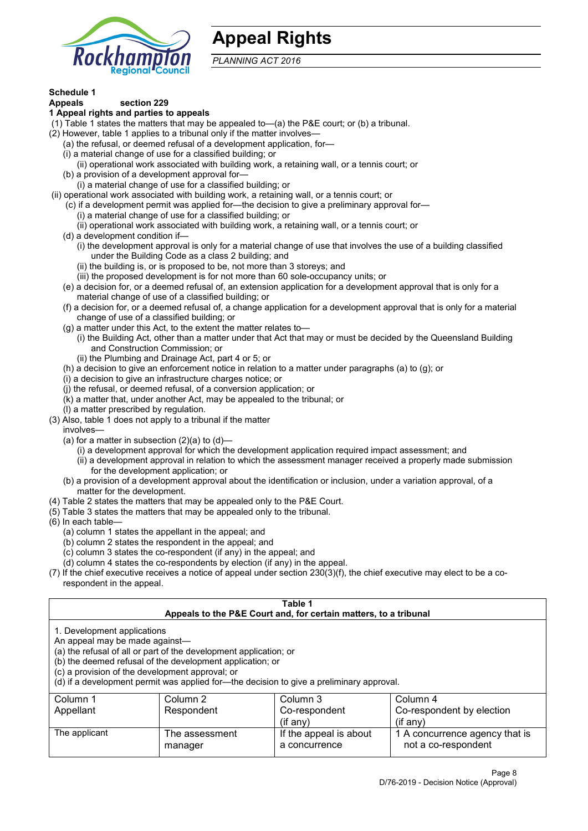

# **Appeal Rights**

*PLANNING ACT 2016*

# **Schedule 1**

#### **Appeals section 229 1 Appeal rights and parties to appeals**

- (1) Table 1 states the matters that may be appealed to—(a) the P&E court; or (b) a tribunal.
- (2) However, table 1 applies to a tribunal only if the matter involves—
	- (a) the refusal, or deemed refusal of a development application, for—
	- (i) a material change of use for a classified building; or
	- (ii) operational work associated with building work, a retaining wall, or a tennis court; or
	- (b) a provision of a development approval for—
	- (i) a material change of use for a classified building; or
- (ii) operational work associated with building work, a retaining wall, or a tennis court; or
	- (c) if a development permit was applied for—the decision to give a preliminary approval for—
		- (i) a material change of use for a classified building; or
		- (ii) operational work associated with building work, a retaining wall, or a tennis court; or
	- (d) a development condition if—
		- (i) the development approval is only for a material change of use that involves the use of a building classified under the Building Code as a class 2 building; and
		- (ii) the building is, or is proposed to be, not more than 3 storeys; and
		- (iii) the proposed development is for not more than 60 sole-occupancy units; or
	- (e) a decision for, or a deemed refusal of, an extension application for a development approval that is only for a material change of use of a classified building; or
	- (f) a decision for, or a deemed refusal of, a change application for a development approval that is only for a material change of use of a classified building; or
	- (g) a matter under this Act, to the extent the matter relates to—
		- (i) the Building Act, other than a matter under that Act that may or must be decided by the Queensland Building and Construction Commission; or
		- (ii) the Plumbing and Drainage Act, part 4 or 5; or
	- (h) a decision to give an enforcement notice in relation to a matter under paragraphs (a) to (g); or
	- (i) a decision to give an infrastructure charges notice; or
	- (j) the refusal, or deemed refusal, of a conversion application; or
	- (k) a matter that, under another Act, may be appealed to the tribunal; or
	- (l) a matter prescribed by regulation.
- (3) Also, table 1 does not apply to a tribunal if the matter

involves—

- (a) for a matter in subsection  $(2)(a)$  to  $(d)$ 
	- (i) a development approval for which the development application required impact assessment; and
	- (ii) a development approval in relation to which the assessment manager received a properly made submission for the development application; or
- (b) a provision of a development approval about the identification or inclusion, under a variation approval, of a matter for the development.
- (4) Table 2 states the matters that may be appealed only to the P&E Court.
- (5) Table 3 states the matters that may be appealed only to the tribunal.
- (6) In each table—
	- (a) column 1 states the appellant in the appeal; and
	- (b) column 2 states the respondent in the appeal; and
	- (c) column 3 states the co-respondent (if any) in the appeal; and
	- (d) column 4 states the co-respondents by election (if any) in the appeal.
- (7) If the chief executive receives a notice of appeal under section 230(3)(f), the chief executive may elect to be a corespondent in the appeal.

| Table 1<br>Appeals to the P&E Court and, for certain matters, to a tribunal |                                                                                          |                        |                                |  |
|-----------------------------------------------------------------------------|------------------------------------------------------------------------------------------|------------------------|--------------------------------|--|
|                                                                             |                                                                                          |                        |                                |  |
| 1. Development applications                                                 |                                                                                          |                        |                                |  |
| An appeal may be made against-                                              |                                                                                          |                        |                                |  |
|                                                                             | (a) the refusal of all or part of the development application; or                        |                        |                                |  |
|                                                                             | (b) the deemed refusal of the development application; or                                |                        |                                |  |
| (c) a provision of the development approval; or                             |                                                                                          |                        |                                |  |
|                                                                             | (d) if a development permit was applied for—the decision to give a preliminary approval. |                        |                                |  |
| Column 1                                                                    | Column 2                                                                                 | Column 3               | Column 4                       |  |
| Appellant                                                                   | Respondent                                                                               | Co-respondent          | Co-respondent by election      |  |
| $(if$ any)<br>$(i$ f any)                                                   |                                                                                          |                        |                                |  |
| The applicant                                                               | The assessment                                                                           | If the appeal is about | 1 A concurrence agency that is |  |
|                                                                             | manager                                                                                  | a concurrence          | not a co-respondent            |  |
|                                                                             |                                                                                          |                        |                                |  |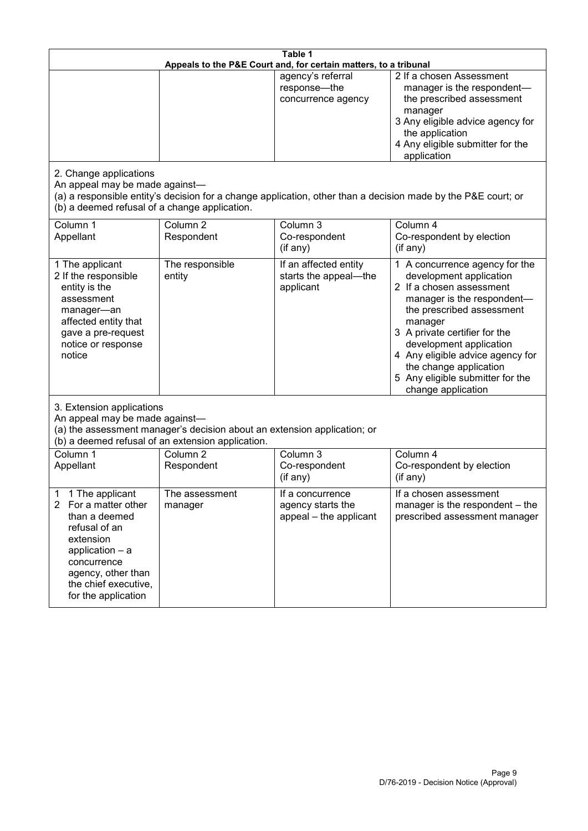| Table 1<br>Appeals to the P&E Court and, for certain matters, to a tribunal                                                                                                                           |                                   |                                                                 |                                                                                                                                                                                                                                                                                                                                                 |  |
|-------------------------------------------------------------------------------------------------------------------------------------------------------------------------------------------------------|-----------------------------------|-----------------------------------------------------------------|-------------------------------------------------------------------------------------------------------------------------------------------------------------------------------------------------------------------------------------------------------------------------------------------------------------------------------------------------|--|
|                                                                                                                                                                                                       |                                   | agency's referral<br>response-the<br>concurrence agency         | 2 If a chosen Assessment<br>manager is the respondent-<br>the prescribed assessment<br>manager<br>3 Any eligible advice agency for<br>the application<br>4 Any eligible submitter for the<br>application                                                                                                                                        |  |
| 2. Change applications<br>An appeal may be made against-<br>(b) a deemed refusal of a change application.                                                                                             |                                   |                                                                 | (a) a responsible entity's decision for a change application, other than a decision made by the P&E court; or                                                                                                                                                                                                                                   |  |
| Column 1<br>Appellant                                                                                                                                                                                 | Column <sub>2</sub><br>Respondent | Column 3<br>Co-respondent<br>(if any)                           | Column 4<br>Co-respondent by election<br>(if any)                                                                                                                                                                                                                                                                                               |  |
| 1 The applicant<br>2 If the responsible<br>entity is the<br>assessment<br>manager-an<br>affected entity that<br>gave a pre-request<br>notice or response<br>notice                                    | The responsible<br>entity         | If an affected entity<br>starts the appeal-the<br>applicant     | 1 A concurrence agency for the<br>development application<br>2 If a chosen assessment<br>manager is the respondent-<br>the prescribed assessment<br>manager<br>3 A private certifier for the<br>development application<br>4 Any eligible advice agency for<br>the change application<br>5 Any eligible submitter for the<br>change application |  |
| 3. Extension applications<br>An appeal may be made against-<br>(a) the assessment manager's decision about an extension application; or<br>(b) a deemed refusal of an extension application.          |                                   |                                                                 |                                                                                                                                                                                                                                                                                                                                                 |  |
| Column 1<br>Appellant                                                                                                                                                                                 | Column <sub>2</sub><br>Respondent | Column 3<br>Co-respondent<br>(if any)                           | Column 4<br>Co-respondent by election<br>(if any)                                                                                                                                                                                                                                                                                               |  |
| 1 The applicant<br>1<br>2<br>For a matter other<br>than a deemed<br>refusal of an<br>extension<br>application - a<br>concurrence<br>agency, other than<br>the chief executive,<br>for the application | The assessment<br>manager         | If a concurrence<br>agency starts the<br>appeal - the applicant | If a chosen assessment<br>manager is the respondent - the<br>prescribed assessment manager                                                                                                                                                                                                                                                      |  |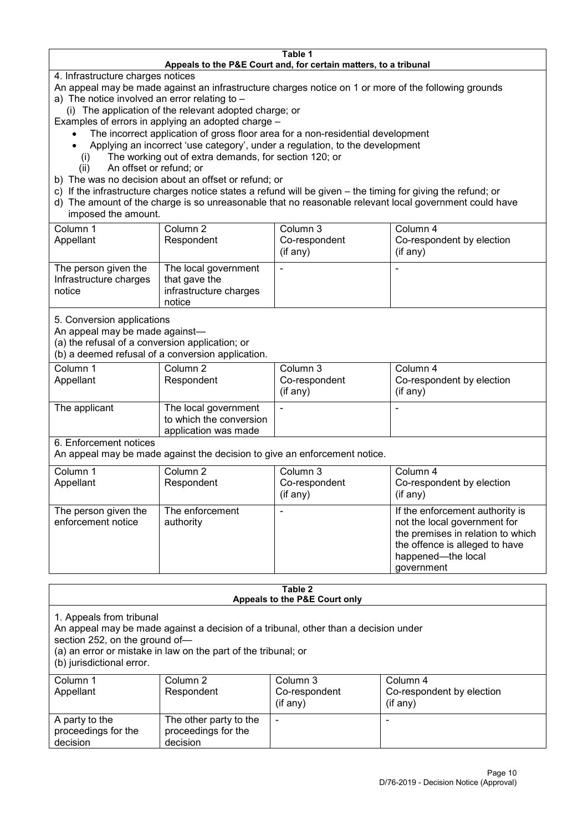#### **Table 1 Appeals to the P&E Court and, for certain matters, to a tribunal**

4. Infrastructure charges notices

- An appeal may be made against an infrastructure charges notice on 1 or more of the following grounds
- a) The notice involved an error relating to
	- (i) The application of the relevant adopted charge; or
- Examples of errors in applying an adopted charge
	- The incorrect application of gross floor area for a non-residential development
	- Applying an incorrect 'use category', under a regulation, to the development
	- (i) The working out of extra demands, for section 120; or
	- (ii) An offset or refund; or
- b) The was no decision about an offset or refund; or
- c) If the infrastructure charges notice states a refund will be given the timing for giving the refund; or
- d) The amount of the charge is so unreasonable that no reasonable relevant local government could have

# imposed the amount.

| Column 1<br>Appellant                                    | Column 2<br>Respondent                                                    | Column 3<br>Co-respondent<br>(if any) | Column 4<br>Co-respondent by election<br>$($ if any $)$ |
|----------------------------------------------------------|---------------------------------------------------------------------------|---------------------------------------|---------------------------------------------------------|
| The person given the<br>Infrastructure charges<br>notice | The local government<br>that gave the<br>infrastructure charges<br>notice | -                                     | $\overline{\phantom{0}}$                                |

5. Conversion applications

An appeal may be made against—

(a) the refusal of a conversion application; or

(b) a deemed refusal of a conversion application.

| Column 1<br>Appellant | Column 2<br>Respondent                                                  | Column 3<br>Co-respondent<br>$($ if any $)$ | Column 4<br>Co-respondent by election<br>$($ if any $)$ |
|-----------------------|-------------------------------------------------------------------------|---------------------------------------------|---------------------------------------------------------|
| The applicant         | The local government<br>to which the conversion<br>application was made |                                             | $\overline{\phantom{0}}$                                |

6. Enforcement notices

An appeal may be made against the decision to give an enforcement notice.

| Column 1                                   | Column 2                     | Column 3      | Column 4                                                                                                                                                                   |
|--------------------------------------------|------------------------------|---------------|----------------------------------------------------------------------------------------------------------------------------------------------------------------------------|
| Appellant                                  | Respondent                   | Co-respondent | Co-respondent by election                                                                                                                                                  |
|                                            |                              | (if any)      | $($ if any $)$                                                                                                                                                             |
| The person given the<br>enforcement notice | The enforcement<br>authority |               | If the enforcement authority is<br>not the local government for<br>the premises in relation to which<br>the offence is alleged to have<br>happened-the local<br>government |

#### **Table 2 Appeals to the P&E Court only**

1. Appeals from tribunal

An appeal may be made against a decision of a tribunal, other than a decision under

section 252, on the ground of—

(a) an error or mistake in law on the part of the tribunal; or

(b) jurisdictional error.

| Column 1<br>Appellant                             | Column 2<br>Respondent                                    | Column 3<br>Co-respondent<br>$($ if any $)$ | Column 4<br>Co-respondent by election<br>$($ if any $)$ |
|---------------------------------------------------|-----------------------------------------------------------|---------------------------------------------|---------------------------------------------------------|
| A party to the<br>proceedings for the<br>decision | The other party to the<br>proceedings for the<br>decision | ٠                                           |                                                         |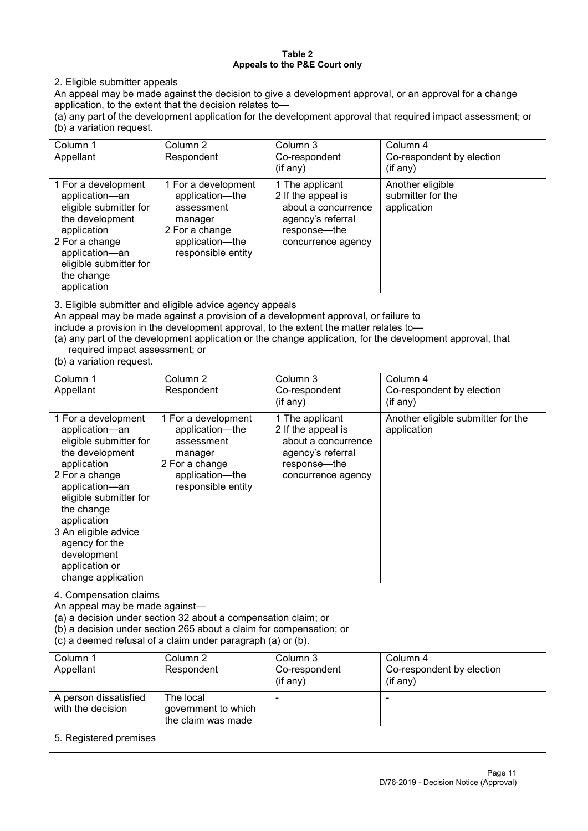#### **Table 2 Appeals to the P&E Court only**

2. Eligible submitter appeals

An appeal may be made against the decision to give a development approval, or an approval for a change application, to the extent that the decision relates to—

(a) any part of the development application for the development approval that required impact assessment; or (b) a variation request.

| Column 1<br>Appellant                                                                                                                                                                        | Column 2<br>Respondent                                                                                                     | Column 3<br>Co-respondent<br>(if any)                                                                                   | Column 4<br>Co-respondent by election<br>(if any)    |  |
|----------------------------------------------------------------------------------------------------------------------------------------------------------------------------------------------|----------------------------------------------------------------------------------------------------------------------------|-------------------------------------------------------------------------------------------------------------------------|------------------------------------------------------|--|
| 1 For a development<br>application-an<br>eligible submitter for<br>the development<br>application<br>2 For a change<br>application-an<br>eligible submitter for<br>the change<br>application | 1 For a development<br>application-the<br>assessment<br>manager<br>2 For a change<br>application-the<br>responsible entity | 1 The applicant<br>2 If the appeal is<br>about a concurrence<br>agency's referral<br>response-the<br>concurrence agency | Another eligible<br>submitter for the<br>application |  |
|                                                                                                                                                                                              |                                                                                                                            |                                                                                                                         |                                                      |  |

3. Eligible submitter and eligible advice agency appeals

An appeal may be made against a provision of a development approval, or failure to

include a provision in the development approval, to the extent the matter relates to—

(a) any part of the development application or the change application, for the development approval, that required impact assessment; or

(b) a variation request.

| Column 1<br>Appellant                                                                                                                                                                                                                                                                         | Column <sub>2</sub><br>Respondent                                                                                          | Column 3<br>Co-respondent                                                                                               | Column 4<br>Co-respondent by election             |
|-----------------------------------------------------------------------------------------------------------------------------------------------------------------------------------------------------------------------------------------------------------------------------------------------|----------------------------------------------------------------------------------------------------------------------------|-------------------------------------------------------------------------------------------------------------------------|---------------------------------------------------|
|                                                                                                                                                                                                                                                                                               |                                                                                                                            | (if any)                                                                                                                | (if any)                                          |
| 1 For a development<br>application-an<br>eligible submitter for<br>the development<br>application<br>2 For a change<br>application-an<br>eligible submitter for<br>the change<br>application<br>3 An eligible advice<br>agency for the<br>development<br>application or<br>change application | 1 For a development<br>application-the<br>assessment<br>manager<br>2 For a change<br>application-the<br>responsible entity | 1 The applicant<br>2 If the appeal is<br>about a concurrence<br>agency's referral<br>response—the<br>concurrence agency | Another eligible submitter for the<br>application |
| 4. Compensation claims<br>An appeal may be made against-<br>(a) a decision under section 32 about a compensation claim; or<br>(b) a decision under section 265 about a claim for compensation; or<br>(c) a deemed refusal of a claim under paragraph (a) or (b).                              |                                                                                                                            |                                                                                                                         |                                                   |
| Column 1<br>Appellant                                                                                                                                                                                                                                                                         | Column 2<br>Respondent                                                                                                     | Column 3<br>Co-respondent<br>(if any)                                                                                   | Column 4<br>Co-respondent by election<br>(if any) |
| A person dissatisfied<br>with the decision                                                                                                                                                                                                                                                    | The local<br>government to which<br>the claim was made                                                                     |                                                                                                                         |                                                   |
| 5. Registered premises                                                                                                                                                                                                                                                                        |                                                                                                                            |                                                                                                                         |                                                   |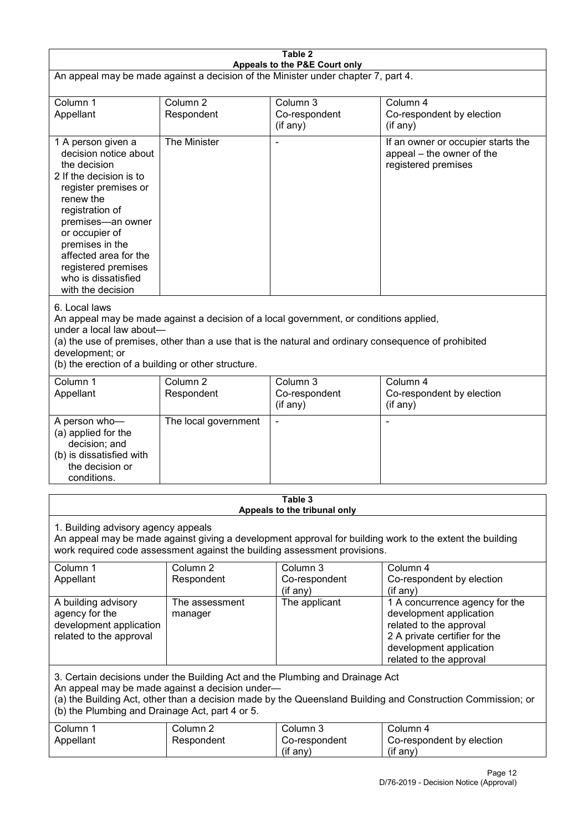| Table 2<br>Appeals to the P&E Court only                                                                                                                                                                                                                                                                             |                                   |                                         |                                                                                                                                                                             |  |
|----------------------------------------------------------------------------------------------------------------------------------------------------------------------------------------------------------------------------------------------------------------------------------------------------------------------|-----------------------------------|-----------------------------------------|-----------------------------------------------------------------------------------------------------------------------------------------------------------------------------|--|
| An appeal may be made against a decision of the Minister under chapter 7, part 4.                                                                                                                                                                                                                                    |                                   |                                         |                                                                                                                                                                             |  |
| Column 1<br>Appellant                                                                                                                                                                                                                                                                                                | Column <sub>2</sub><br>Respondent | Column 3<br>Co-respondent<br>(if any)   | Column 4<br>Co-respondent by election<br>(if any)                                                                                                                           |  |
| 1 A person given a<br>decision notice about<br>the decision<br>2 If the decision is to<br>register premises or<br>renew the<br>registration of<br>premises-an owner<br>or occupier of<br>premises in the<br>affected area for the<br>registered premises<br>who is dissatisfied<br>with the decision                 | The Minister                      |                                         | If an owner or occupier starts the<br>appeal - the owner of the<br>registered premises                                                                                      |  |
| 6. Local laws<br>An appeal may be made against a decision of a local government, or conditions applied,<br>under a local law about-<br>(a) the use of premises, other than a use that is the natural and ordinary consequence of prohibited<br>development; or<br>(b) the erection of a building or other structure. |                                   |                                         |                                                                                                                                                                             |  |
| Column 1<br>Appellant                                                                                                                                                                                                                                                                                                | Column <sub>2</sub><br>Respondent | Column 3<br>Co-respondent<br>(if any)   | Column 4<br>Co-respondent by election<br>(if any)                                                                                                                           |  |
| A person who-<br>(a) applied for the<br>decision; and<br>(b) is dissatisfied with<br>the decision or<br>conditions.                                                                                                                                                                                                  | The local government              |                                         | ٠                                                                                                                                                                           |  |
|                                                                                                                                                                                                                                                                                                                      |                                   | Table 3<br>Appeals to the tribunal only |                                                                                                                                                                             |  |
| 1. Building advisory agency appeals<br>An appeal may be made against giving a development approval for building work to the extent the building<br>work required code assessment against the building assessment provisions.                                                                                         |                                   |                                         |                                                                                                                                                                             |  |
| Column 1<br>Appellant                                                                                                                                                                                                                                                                                                | Column <sub>2</sub><br>Respondent | Column 3<br>Co-respondent<br>(if any)   | Column 4<br>Co-respondent by election<br>(if any)                                                                                                                           |  |
| A building advisory<br>agency for the<br>development application<br>related to the approval                                                                                                                                                                                                                          | The assessment<br>manager         | The applicant                           | 1 A concurrence agency for the<br>development application<br>related to the approval<br>2 A private certifier for the<br>development application<br>related to the approval |  |
| 3. Certain decisions under the Building Act and the Plumbing and Drainage Act<br>An appeal may be made against a decision under-<br>(a) the Building Act, other than a decision made by the Queensland Building and Construction Commission; or<br>(b) the Plumbing and Drainage Act, part 4 or 5.                   |                                   |                                         |                                                                                                                                                                             |  |
| Column 1<br>Appellant                                                                                                                                                                                                                                                                                                | Column <sub>2</sub><br>Respondent | Column 3<br>Co-respondent<br>(if any)   | Column 4<br>Co-respondent by election<br>(if any)                                                                                                                           |  |